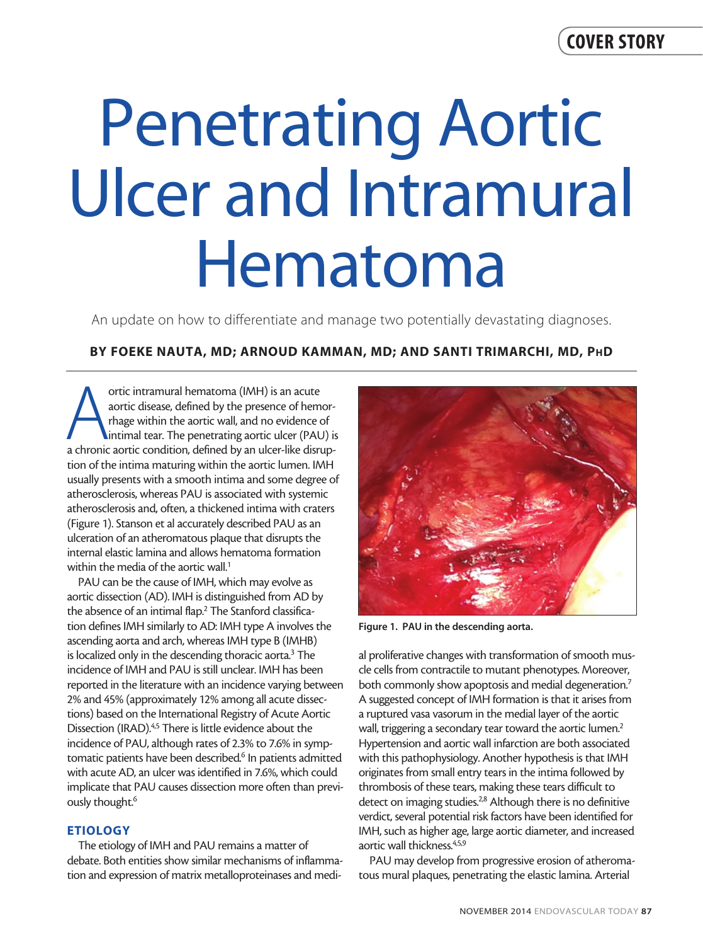# Penetrating Aortic Ulcer and Intramural Hematoma

An update on how to differentiate and manage two potentially devastating diagnoses.

# BY FOEKE NAUTA, MD; ARNOUD KAMMAN, MD; AND SANTI TRIMARCHI, MD, PhD

ortic intramural hematoma (IMH) is an acute<br>aortic disease, defined by the presence of hemor-<br>thage within the aortic wall, and no evidence of<br>intimal tear. The penetrating aortic ulcer (PAU) is<br>a chronic aortic condition, ortic intramural hematoma (IMH) is an acute aortic disease, defined by the presence of hemorrhage within the aortic wall, and no evidence of intimal tear. The penetrating aortic ulcer (PAU) is tion of the intima maturing within the aortic lumen. IMH usually presents with a smooth intima and some degree of atherosclerosis, whereas PAU is associated with systemic atherosclerosis and, often, a thickened intima with craters (Figure 1). Stanson et al accurately described PAU as an ulceration of an atheromatous plaque that disrupts the internal elastic lamina and allows hematoma formation within the media of the aortic wall.<sup>1</sup>

PAU can be the cause of IMH, which may evolve as aortic dissection (AD). IMH is distinguished from AD by the absence of an intimal flap.<sup>2</sup> The Stanford classification defines IMH similarly to AD: IMH type A involves the ascending aorta and arch, whereas IMH type B (IMHB) is localized only in the descending thoracic aorta.<sup>3</sup> The incidence of IMH and PAU is still unclear. IMH has been reported in the literature with an incidence varying between 2% and 45% (approximately 12% among all acute dissections) based on the International Registry of Acute Aortic Dissection (IRAD).<sup>4,5</sup> There is little evidence about the incidence of PAU, although rates of 2.3% to 7.6% in symptomatic patients have been described.<sup>6</sup> In patients admitted with acute AD, an ulcer was identified in 7.6%, which could implicate that PAU causes dissection more often than previously thought.<sup>6</sup>

# ETIOLOGY

The etiology of IMH and PAU remains a matter of debate. Both entities show similar mechanisms of inflammation and expression of matrix metalloproteinases and medi-



Figure 1. PAU in the descending aorta.

al proliferative changes with transformation of smooth muscle cells from contractile to mutant phenotypes. Moreover, both commonly show apoptosis and medial degeneration.<sup>7</sup> A suggested concept of IMH formation is that it arises from a ruptured vasa vasorum in the medial layer of the aortic wall, triggering a secondary tear toward the aortic lumen.<sup>2</sup> Hypertension and aortic wall infarction are both associated with this pathophysiology. Another hypothesis is that IMH originates from small entry tears in the intima followed by thrombosis of these tears, making these tears difficult to detect on imaging studies.<sup>2,8</sup> Although there is no definitive verdict, several potential risk factors have been identified for IMH, such as higher age, large aortic diameter, and increased aortic wall thickness.4,5,9

PAU may develop from progressive erosion of atheromatous mural plaques, penetrating the elastic lamina. Arterial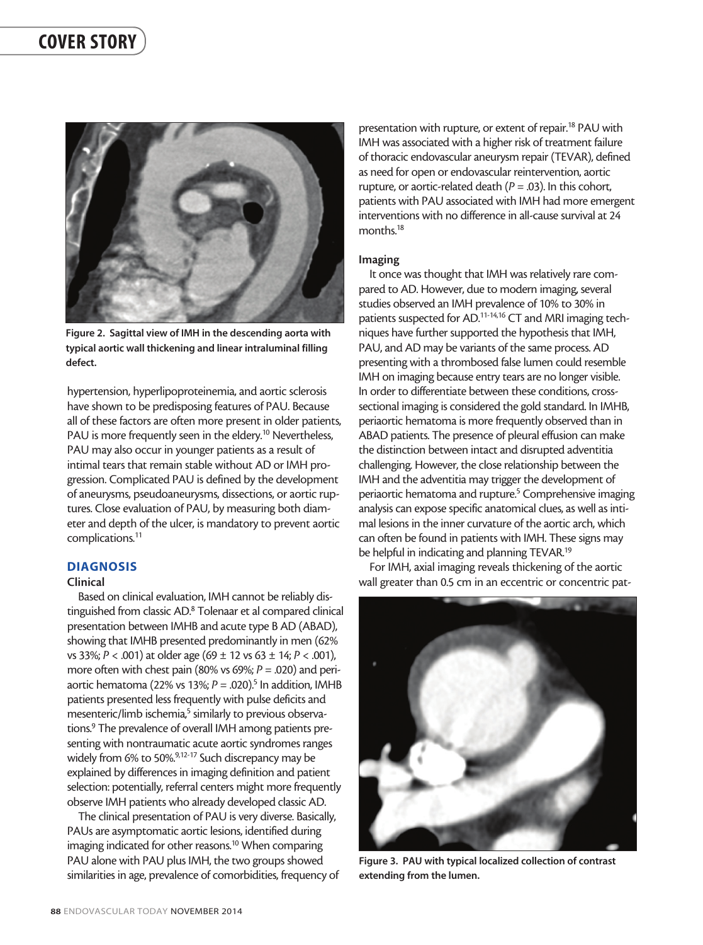

Figure 2. Sagittal view of IMH in the descending aorta with typical aortic wall thickening and linear intraluminal filling defect.

hypertension, hyperlipoproteinemia, and aortic sclerosis have shown to be predisposing features of PAU. Because all of these factors are often more present in older patients, PAU is more frequently seen in the eldery.<sup>10</sup> Nevertheless, PAU may also occur in younger patients as a result of intimal tears that remain stable without AD or IMH progression. Complicated PAU is defined by the development of aneurysms, pseudoaneurysms, dissections, or aortic ruptures. Close evaluation of PAU, by measuring both diameter and depth of the ulcer, is mandatory to prevent aortic complications.11

#### DIAGNOSIS

## Clinical

Based on clinical evaluation, IMH cannot be reliably distinguished from classic AD.<sup>8</sup> Tolenaar et al compared clinical presentation between IMHB and acute type B AD (ABAD), showing that IMHB presented predominantly in men (62% vs 33%; *P* < .001) at older age (69 ± 12 vs 63 ± 14; *P* < .001), more often with chest pain (80% vs 69%; *P* = .020) and periaortic hematoma (22% vs 13%; *P* = .020).<sup>5</sup> In addition, IMHB patients presented less frequently with pulse deficits and mesenteric/limb ischemia,<sup>5</sup> similarly to previous observations.<sup>9</sup> The prevalence of overall IMH among patients presenting with nontraumatic acute aortic syndromes ranges widely from 6% to 50%.<sup>9,12-17</sup> Such discrepancy may be explained by differences in imaging definition and patient selection: potentially, referral centers might more frequently observe IMH patients who already developed classic AD.

The clinical presentation of PAU is very diverse. Basically, PAUs are asymptomatic aortic lesions, identified during imaging indicated for other reasons.<sup>10</sup> When comparing PAU alone with PAU plus IMH, the two groups showed similarities in age, prevalence of comorbidities, frequency of

presentation with rupture, or extent of repair.<sup>18</sup> PAU with IMH was associated with a higher risk of treatment failure of thoracic endovascular aneurysm repair (TEVAR), defined as need for open or endovascular reintervention, aortic rupture, or aortic-related death  $(P = .03)$ . In this cohort, patients with PAU associated with IMH had more emergent interventions with no difference in all-cause survival at 24 months.<sup>18</sup>

#### Imaging

It once was thought that IMH was relatively rare compared to AD. However, due to modern imaging, several studies observed an IMH prevalence of 10% to 30% in patients suspected for AD.11-14,16 CT and MRI imaging techniques have further supported the hypothesis that IMH, PAU, and AD may be variants of the same process. AD presenting with a thrombosed false lumen could resemble IMH on imaging because entry tears are no longer visible. In order to differentiate between these conditions, crosssectional imaging is considered the gold standard. In IMHB, periaortic hematoma is more frequently observed than in ABAD patients. The presence of pleural effusion can make the distinction between intact and disrupted adventitia challenging. However, the close relationship between the IMH and the adventitia may trigger the development of periaortic hematoma and rupture.<sup>5</sup> Comprehensive imaging analysis can expose specific anatomical clues, as well as intimal lesions in the inner curvature of the aortic arch, which can often be found in patients with IMH. These signs may be helpful in indicating and planning TEVAR.<sup>19</sup>

For IMH, axial imaging reveals thickening of the aortic wall greater than 0.5 cm in an eccentric or concentric pat-



Figure 3. PAU with typical localized collection of contrast extending from the lumen.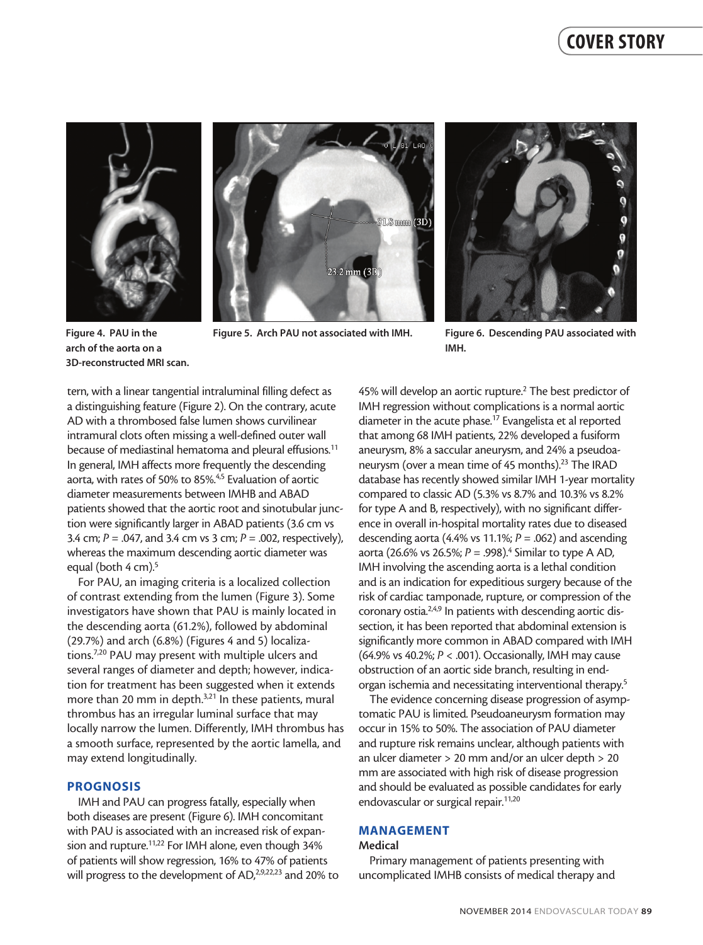





Figure 4. PAU in the arch of the aorta on a 3D-reconstructed MRI scan.

Figure 5. Arch PAU not associated with IMH. Figure 6. Descending PAU associated with

IMH.

tern, with a linear tangential intraluminal filling defect as a distinguishing feature (Figure 2). On the contrary, acute AD with a thrombosed false lumen shows curvilinear intramural clots often missing a well-defined outer wall because of mediastinal hematoma and pleural effusions.<sup>11</sup> In general, IMH affects more frequently the descending aorta, with rates of 50% to 85%.4,5 Evaluation of aortic diameter measurements between IMHB and ABAD patients showed that the aortic root and sinotubular junction were significantly larger in ABAD patients (3.6 cm vs 3.4 cm; *P* = .047, and 3.4 cm vs 3 cm; *P* = .002, respectively), whereas the maximum descending aortic diameter was equal (both 4 cm).<sup>5</sup>

For PAU, an imaging criteria is a localized collection of contrast extending from the lumen (Figure 3). Some investigators have shown that PAU is mainly located in the descending aorta (61.2%), followed by abdominal (29.7%) and arch (6.8%) (Figures 4 and 5) localizations.7,20 PAU may present with multiple ulcers and several ranges of diameter and depth; however, indication for treatment has been suggested when it extends more than 20 mm in depth.<sup>3,21</sup> In these patients, mural thrombus has an irregular luminal surface that may locally narrow the lumen. Differently, IMH thrombus has a smooth surface, represented by the aortic lamella, and may extend longitudinally.

### PROGNOSIS

IMH and PAU can progress fatally, especially when both diseases are present (Figure 6). IMH concomitant with PAU is associated with an increased risk of expansion and rupture.<sup>11,22</sup> For IMH alone, even though 34% of patients will show regression, 16% to 47% of patients will progress to the development of AD,<sup>2,9,22,23</sup> and 20% to 45% will develop an aortic rupture.<sup>2</sup> The best predictor of IMH regression without complications is a normal aortic diameter in the acute phase.<sup>17</sup> Evangelista et al reported that among 68 IMH patients, 22% developed a fusiform aneurysm, 8% a saccular aneurysm, and 24% a pseudoaneurysm (over a mean time of 45 months).<sup>23</sup> The IRAD database has recently showed similar IMH 1-year mortality compared to classic AD (5.3% vs 8.7% and 10.3% vs 8.2% for type A and B, respectively), with no significant difference in overall in-hospital mortality rates due to diseased descending aorta (4.4% vs 11.1%; *P* = .062) and ascending aorta (26.6% vs 26.5%; *P* = .998).<sup>4</sup> Similar to type A AD, IMH involving the ascending aorta is a lethal condition and is an indication for expeditious surgery because of the risk of cardiac tamponade, rupture, or compression of the coronary ostia.<sup>2,4,9</sup> In patients with descending aortic dissection, it has been reported that abdominal extension is significantly more common in ABAD compared with IMH (64.9% vs 40.2%; *P* < .001). Occasionally, IMH may cause obstruction of an aortic side branch, resulting in endorgan ischemia and necessitating interventional therapy.<sup>5</sup>

The evidence concerning disease progression of asymptomatic PAU is limited. Pseudoaneurysm formation may occur in 15% to 50%. The association of PAU diameter and rupture risk remains unclear, although patients with an ulcer diameter > 20 mm and/or an ulcer depth > 20 mm are associated with high risk of disease progression and should be evaluated as possible candidates for early endovascular or surgical repair.<sup>11,20</sup>

#### MANAGEMENT

#### Medical

Primary management of patients presenting with uncomplicated IMHB consists of medical therapy and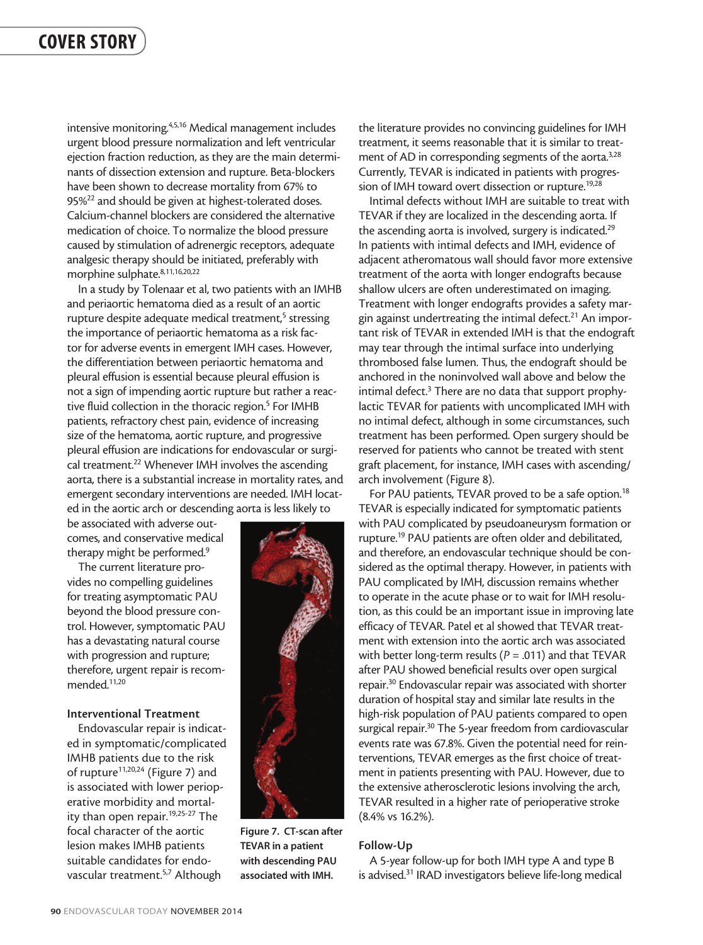intensive monitoring.4,5,16 Medical management includes urgent blood pressure normalization and left ventricular ejection fraction reduction, as they are the main determinants of dissection extension and rupture. Beta-blockers have been shown to decrease mortality from 67% to 95%<sup>22</sup> and should be given at highest-tolerated doses. Calcium-channel blockers are considered the alternative medication of choice. To normalize the blood pressure caused by stimulation of adrenergic receptors, adequate analgesic therapy should be initiated, preferably with morphine sulphate.<sup>8,11,16,20,22</sup>

In a study by Tolenaar et al, two patients with an IMHB and periaortic hematoma died as a result of an aortic rupture despite adequate medical treatment,<sup>5</sup> stressing the importance of periaortic hematoma as a risk factor for adverse events in emergent IMH cases. However, the differentiation between periaortic hematoma and pleural effusion is essential because pleural effusion is not a sign of impending aortic rupture but rather a reactive fluid collection in the thoracic region.<sup>5</sup> For IMHB patients, refractory chest pain, evidence of increasing size of the hematoma, aortic rupture, and progressive pleural effusion are indications for endovascular or surgical treatment.<sup>22</sup> Whenever IMH involves the ascending aorta, there is a substantial increase in mortality rates, and emergent secondary interventions are needed. IMH located in the aortic arch or descending aorta is less likely to

be associated with adverse outcomes, and conservative medical therapy might be performed.<sup>9</sup>

The current literature provides no compelling guidelines for treating asymptomatic PAU beyond the blood pressure control. However, symptomatic PAU has a devastating natural course with progression and rupture; therefore, urgent repair is recommended.11,20

#### Interventional Treatment

Endovascular repair is indicated in symptomatic/complicated IMHB patients due to the risk of rupture<sup>11,20,24</sup> (Figure 7) and is associated with lower perioperative morbidity and mortality than open repair.19,25-27 The focal character of the aortic lesion makes IMHB patients suitable candidates for endovascular treatment.<sup>5,7</sup> Although



Figure 7. CT-scan after TEVAR in a patient with descending PAU associated with IMH.

the literature provides no convincing guidelines for IMH treatment, it seems reasonable that it is similar to treatment of AD in corresponding segments of the aorta.<sup>3,28</sup> Currently, TEVAR is indicated in patients with progression of IMH toward overt dissection or rupture.<sup>19,28</sup>

Intimal defects without IMH are suitable to treat with TEVAR if they are localized in the descending aorta. If the ascending aorta is involved, surgery is indicated.<sup>29</sup> In patients with intimal defects and IMH, evidence of adjacent atheromatous wall should favor more extensive treatment of the aorta with longer endografts because shallow ulcers are often underestimated on imaging. Treatment with longer endografts provides a safety margin against undertreating the intimal defect.<sup>21</sup> An important risk of TEVAR in extended IMH is that the endograft may tear through the intimal surface into underlying thrombosed false lumen. Thus, the endograft should be anchored in the noninvolved wall above and below the intimal defect.<sup>3</sup> There are no data that support prophylactic TEVAR for patients with uncomplicated IMH with no intimal defect, although in some circumstances, such treatment has been performed. Open surgery should be reserved for patients who cannot be treated with stent graft placement, for instance, IMH cases with ascending/ arch involvement (Figure 8).

For PAU patients, TEVAR proved to be a safe option.<sup>18</sup> TEVAR is especially indicated for symptomatic patients with PAU complicated by pseudoaneurysm formation or rupture.19 PAU patients are often older and debilitated, and therefore, an endovascular technique should be considered as the optimal therapy. However, in patients with PAU complicated by IMH, discussion remains whether to operate in the acute phase or to wait for IMH resolution, as this could be an important issue in improving late efficacy of TEVAR. Patel et al showed that TEVAR treatment with extension into the aortic arch was associated with better long-term results (*P* = .011) and that TEVAR after PAU showed beneficial results over open surgical repair.30 Endovascular repair was associated with shorter duration of hospital stay and similar late results in the high-risk population of PAU patients compared to open surgical repair.<sup>30</sup> The 5-year freedom from cardiovascular events rate was 67.8%. Given the potential need for reinterventions, TEVAR emerges as the first choice of treatment in patients presenting with PAU. However, due to the extensive atherosclerotic lesions involving the arch, TEVAR resulted in a higher rate of perioperative stroke (8.4% vs 16.2%).

#### Follow-Up

A 5-year follow-up for both IMH type A and type B is advised.<sup>31</sup> IRAD investigators believe life-long medical